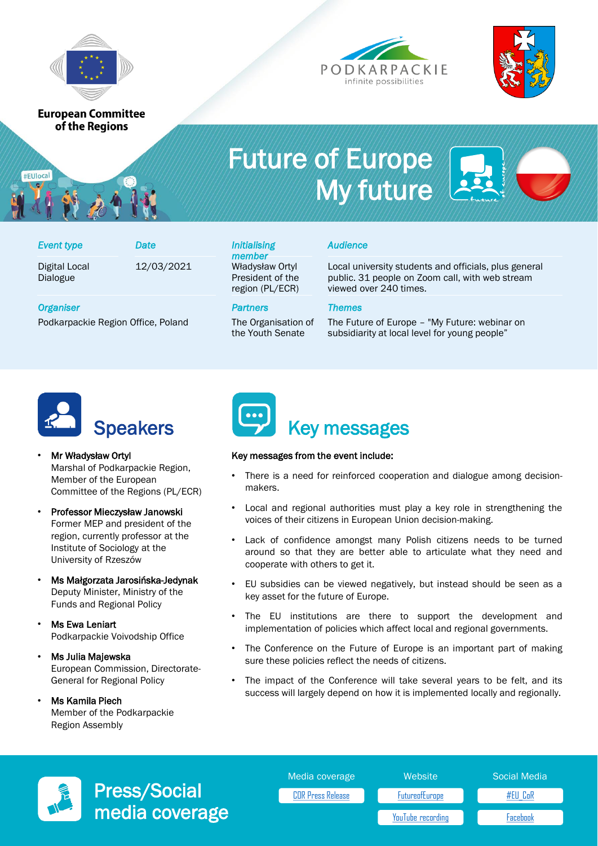

**European Committee** of the Regions





# Future of Europe My future

| <b>Event type</b>         | Date       |
|---------------------------|------------|
| Digital Local<br>Dialogue | 12/03/2021 |

#### Władysław Ortyl President of the region (PL/ECR) *Event type Date Initialising member*

the Youth Senate

# *Audience*

Local university students and officials, plus general public. 31 people on Zoom call, with web stream viewed over 240 times.

### *Organiser Partners Themes*

#EUlocal

Podkarpackie Region Office, Poland The Organisation of



The Future of Europe – "My Future: webinar on subsidiarity at local level for young people"



- Mr Władysław Ortyl Marshal of Podkarpackie Region, Member of the European Committee of the Regions (PL/ECR)
- Professor Mieczysław Janowski Former MEP and president of the region, currently professor at the Institute of Sociology at the University of Rzeszów
- Ms Małgorzata Jarosińska-Jedynak Deputy Minister, Ministry of the Funds and Regional Policy
- **Ms Ewa Leniart** Podkarpackie Voivodship Office
- Ms Julia Majewska European Commission, Directorate-General for Regional Policy
- Ms Kamila Piech Member of the Podkarpackie Region Assembly



## Key messages from the event include:

- There is a need for reinforced cooperation and dialogue among decisionmakers.
- Local and regional authorities must play a key role in strengthening the voices of their citizens in European Union decision-making.
- Lack of confidence amongst many Polish citizens needs to be turned around so that they are better able to articulate what they need and cooperate with others to get it.
- EU subsidies can be viewed negatively, but instead should be seen as a key asset for the future of Europe.
- The EU institutions are there to support the development and implementation of policies which affect local and regional governments.
- The Conference on the Future of Europe is an important part of making sure these policies reflect the needs of citizens.
- The impact of the Conference will take several years to be felt, and its success will largely depend on how it is implemented locally and regionally.



Press/Social media coverage